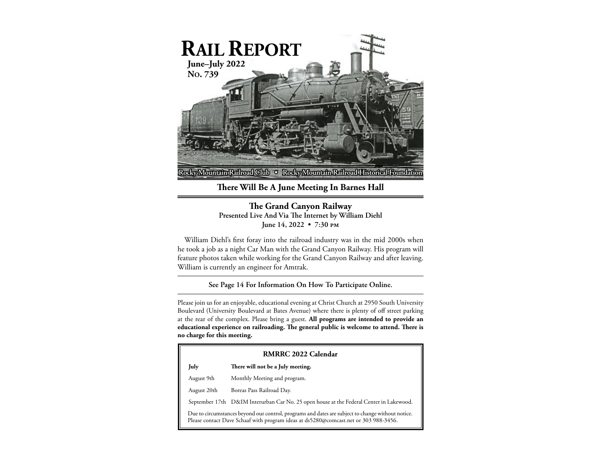

**There Will Be A June Meeting In Barnes Hall**

## **The Grand Canyon Railway Presented Live And Via The Internet by William Diehl June 14, 2022 • 7:30 PM**

William Diehl's first foray into the railroad industry was in the mid 2000s when he took a job as a night Car Man with the Grand Canyon Railway. His program will feature photos taken while working for the Grand Canyon Railway and after leaving. William is currently an engineer for Amtrak.

## **See Page 14 For Information On How To Participate Online.**

Please join us for an enjoyable, educational evening at Christ Church at 2950 South University Boulevard (University Boulevard at Bates Avenue) where there is plenty of off street parking at the rear of the complex. Please bring a guest. **All programs are intended to provide an educational experience on railroading. The general public is welcome to attend. There is no charge for this meeting.**

| <b>RMRRC 2022 Calendar</b>                                                                                                                                                                |                                                                                         |
|-------------------------------------------------------------------------------------------------------------------------------------------------------------------------------------------|-----------------------------------------------------------------------------------------|
| July                                                                                                                                                                                      | There will not be a July meeting.                                                       |
| August 9th                                                                                                                                                                                | Monthly Meeting and program.                                                            |
| August 20th                                                                                                                                                                               | Boreas Pass Railroad Day.                                                               |
|                                                                                                                                                                                           | September 17th D&IM Interurban Car No. 25 open house at the Federal Center in Lakewood. |
| Due to circumstances beyond our control, programs and dates are subject to change without notice.<br>Please contact Dave Schaaf with program ideas at ds5280@comcast.net or 303 988-3456. |                                                                                         |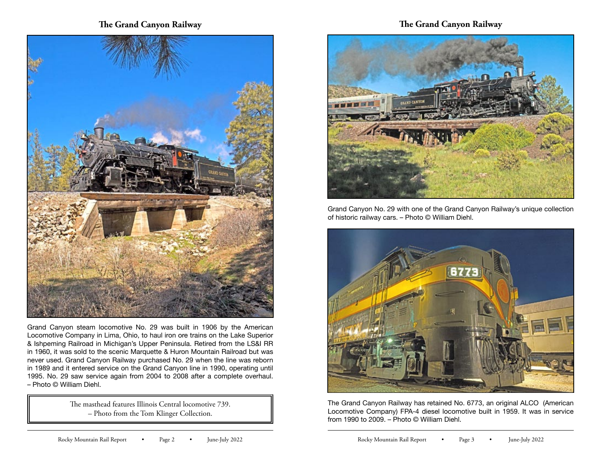# **The Grand Canyon Railway**



Grand Canyon steam locomotive No. 29 was built in 1906 by the American Locomotive Company in Lima, Ohio, to haul iron ore trains on the Lake Superior & Ishpeming Railroad in Michigan's Upper Peninsula. Retired from the LS&I RR in 1960, it was sold to the scenic Marquette & Huron Mountain Railroad but was never used. Grand Canyon Railway purchased No. 29 when the line was reborn in 1989 and it entered service on the Grand Canyon line in 1990, operating until 1995. No. 29 saw service again from 2004 to 2008 after a complete overhaul. – Photo © William Diehl.

> The masthead features Illinois Central locomotive 739. – Photo from the Tom Klinger Collection.

# **The Grand Canyon Railway**



Grand Canyon No. 29 with one of the Grand Canyon Railway's unique collection of historic railway cars. – Photo © William Diehl.



The Grand Canyon Railway has retained No. 6773, an original ALCO (American Locomotive Company) FPA-4 diesel locomotive built in 1959. It was in service from 1990 to 2009. – Photo © William Diehl.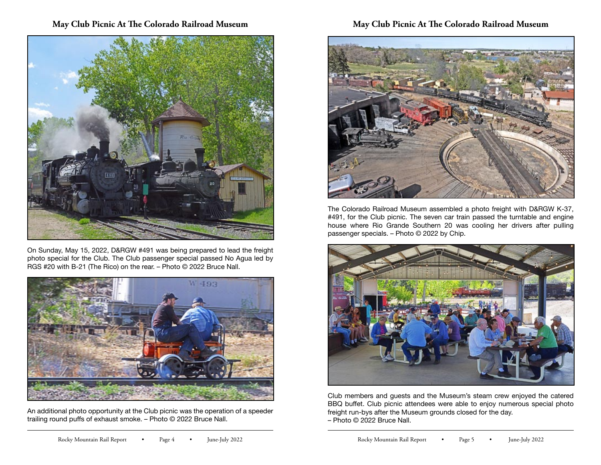# **May Club Picnic At The Colorado Railroad Museum**



On Sunday, May 15, 2022, D&RGW #491 was being prepared to lead the freight photo special for the Club. The Club passenger special passed No Agua led by RGS #20 with B-21 (The Rico) on the rear. – Photo © 2022 Bruce Nall.



An additional photo opportunity at the Club picnic was the operation of a speeder trailing round puffs of exhaust smoke. – Photo © 2022 Bruce Nall.

# **May Club Picnic At The Colorado Railroad Museum**



The Colorado Railroad Museum assembled a photo freight with D&RGW K-37, #491, for the Club picnic. The seven car train passed the turntable and engine house where Rio Grande Southern 20 was cooling her drivers after pulling passenger specials. – Photo © 2022 by Chip.



Club members and guests and the Museum's steam crew enjoyed the catered BBQ buffet. Club picnic attendees were able to enjoy numerous special photo freight run-bys after the Museum grounds closed for the day.

– Photo © 2022 Bruce Nall.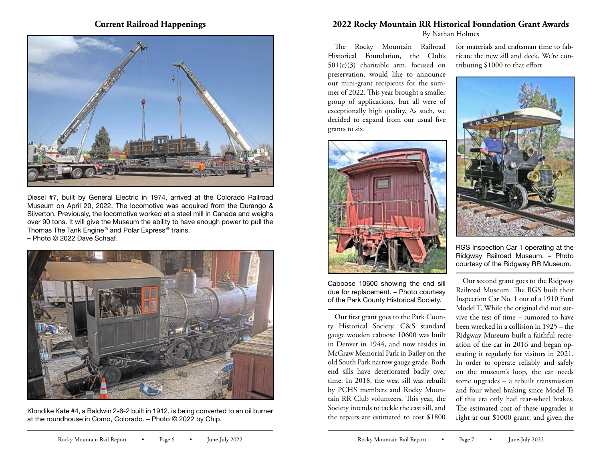

Diesel #7, built by General Electric in 1974, arrived at the Colorado Railroad Museum on April 20, 2022. The locomotive was acquired from the Durango & Silverton. Previously, the locomotive worked at a steel mill in Canada and weighs over 90 tons. It will give the Museum the ability to have enough power to pull the Thomas The Tank Engine ® and Polar Express ® trains.

– Photo © 2022 Dave Schaaf.



Klondike Kate #4, a Baldwin 2-6-2 built in 1912, is being converted to an oil burner at the roundhouse in Como, Colorado. – Photo © 2022 by Chip.

## **Current Railroad Happenings 2022 Rocky Mountain RR Historical Foundation Grant Awards** By Nathan Holmes

The Rocky Mountain Railroad Historical Foundation, the Club's 501(c)(3) charitable arm, focused on preservation, would like to announce our mini-grant recipients for the summer of 2022. This year brought a smaller group of applications, but all were of exceptionally high quality. As such, we decided to expand from our usual five grants to six.



Caboose 10600 showing the end sill due for replacement. – Photo courtesy of the Park County Historical Society.

Our first grant goes to the Park County Historical Society. C&S standard gauge wooden caboose 10600 was built in Denver in 1944, and now resides in McGraw Memorial Park in Bailey on the old South Park narrow gauge grade. Both end sills have deteriorated badly over time. In 2018, the west sill was rebuilt by PCHS members and Rocky Mountain RR Club volunteers. This year, the Society intends to tackle the east sill, and the repairs are estimated to cost \$1800 for materials and craftsman time to fabricate the new sill and deck. We're contributing \$1000 to that effort.



RGS Inspection Car 1 operating at the Ridgway Railroad Museum. – Photo courtesy of the Ridgway RR Museum.

Our second grant goes to the Ridgway Railroad Museum. The RGS built their Inspection Car No. 1 out of a 1910 Ford Model T. While the original did not survive the test of time – rumored to have been wrecked in a collision in 1925 – the Ridgway Museum built a faithful recreation of the car in 2016 and began operating it regularly for visitors in 2021. In order to operate reliably and safely on the museum's loop, the car needs some upgrades – a rebuilt transmission and four wheel braking since Model Ts of this era only had rear-wheel brakes. The estimated cost of these upgrades is right at our \$1000 grant, and given the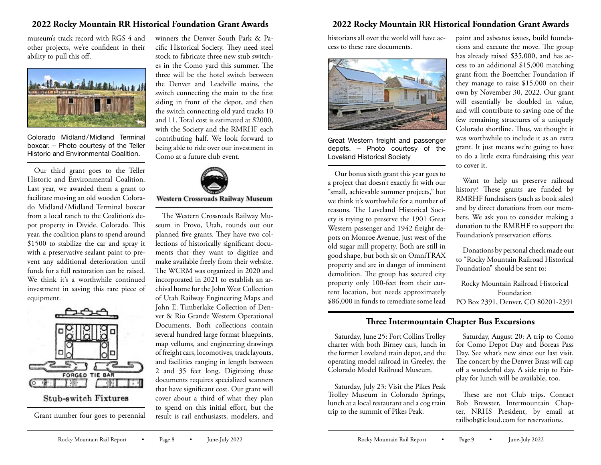# **2022 Rocky Mountain RR Historical Foundation Grant Awards**

museum's track record with RGS 4 and other projects, we're confident in their ability to pull this off.



Colorado Midland / Midland Terminal boxcar. – Photo courtesy of the Teller Historic and Environmental Coalition.

Our third grant goes to the Teller Historic and Environmental Coalition. Last year, we awarded them a grant to facilitate moving an old wooden Colorado Midland / Midland Terminal boxcar from a local ranch to the Coalition's depot property in Divide, Colorado. This year, the coalition plans to spend around \$1500 to stabilize the car and spray it with a preservative sealant paint to prevent any additional deterioration until funds for a full restoration can be raised. We think it's a worthwhile continued investment in saving this rare piece of equipment.



**Stub-switch Fixtures** 

Grant number four goes to perennial

winners the Denver South Park & Pacific Historical Society. They need steel stock to fabricate three new stub switches in the Como yard this summer. The three will be the hotel switch between the Denver and Leadville mains, the switch connecting the main to the first siding in front of the depot, and then the switch connecting old yard tracks 10 and 11. Total cost is estimated at \$2000, with the Society and the RMRHF each contributing half. We look forward to being able to ride over our investment in Como at a future club event.



The Western Crossroads Railway Museum in Provo, Utah, rounds out our planned five grants. They have two collections of historically significant documents that they want to digitize and make available freely from their website. The WCRM was organized in 2020 and incorporated in 2021 to establish an archival home for the John West Collection of Utah Railway Engineering Maps and John E. Timberlake Collection of Denver & Rio Grande Western Operational Documents. Both collections contain several hundred large format blueprints, map vellums, and engineering drawings of freight cars, locomotives, track layouts, and facilities ranging in length between 2 and 35 feet long. Digitizing these documents requires specialized scanners that have significant cost. Our grant will cover about a third of what they plan to spend on this initial effort, but the result is rail enthusiasts, modelers, and

## **2022 Rocky Mountain RR Historical Foundation Grant Awards**

historians all over the world will have access to these rare documents.



Great Western freight and passenger depots. – Photo courtesy of the Loveland Historical Society

Our bonus sixth grant this year goes to a project that doesn't exactly fit with our "small, achievable summer projects," but we think it's worthwhile for a number of reasons. The Loveland Historical Society is trying to preserve the 1901 Great Western passenger and 1942 freight depots on Monroe Avenue, just west of the old sugar mill property. Both are still in good shape, but both sit on OmniTRAX property and are in danger of imminent demolition. The group has secured city property only 100-feet from their current location, but needs approximately \$86,000 in funds to remediate some lead

paint and asbestos issues, build foundations and execute the move. The group has already raised \$35,000, and has access to an additional \$15,000 matching grant from the Boettcher Foundation if they manage to raise \$15,000 on their own by November 30, 2022. Our grant will essentially be doubled in value, and will contribute to saving one of the few remaining structures of a uniquely Colorado shortline. Thus, we thought it was worthwhile to include it as an extra grant. It just means we're going to have to do a little extra fundraising this year to cover it.

Want to help us preserve railroad history? These grants are funded by RMRHF fundraisers (such as book sales) and by direct donations from our members. We ask you to consider making a donation to the RMRHF to support the Foundation's preservation efforts.

Donations by personal check made out to "Rocky Mountain Railroad Historical Foundation" should be sent to:

Rocky Mountain Railroad Historical Foundation PO Box 2391, Denver, CO 80201-2391

# **Three Intermountain Chapter Bus Excursions**

Saturday, June 25: Fort Collins Trolley charter with both Birney cars, lunch in the former Loveland train depot, and the operating model railroad in Greeley, the Colorado Model Railroad Museum.

Saturday, July 23: Visit the Pikes Peak Trolley Museum in Colorado Springs, lunch at a local restaurant and a cog train trip to the summit of Pikes Peak.

Saturday, August 20: A trip to Como for Como Depot Day and Boreas Pass Day. See what's new since our last visit. The concert by the Denver Brass will cap off a wonderful day. A side trip to Fairplay for lunch will be available, too.

These are not Club trips. Contact Bob Brewster, Intermountain Chapter, NRHS President, by email at railbob@icloud.com for reservations.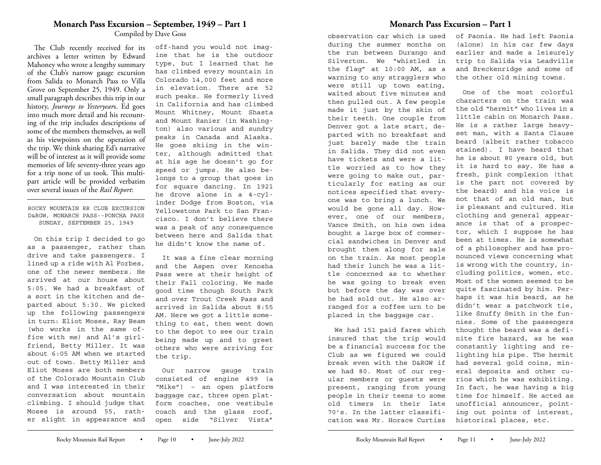## **Monarch Pass Excursion – September, 1949 – Part 1** Compiled by Dave Goss

The Club recently received for its archives a letter written by Edward Mahoney who wrote a lengthy summary of the Club's narrow gauge excursion from Salida to Monarch Pass to Villa Grove on September 25, 1949. Only a small paragraph describes this trip in our history, *Journeys to Yesteryear*s. Ed goes into much more detail and his recounting of the trip includes descriptions of some of the members themselves, as well as his viewpoints on the operation of the trip. We think sharing Ed's narrative will be of interest as it will provide some memories of life seventy-three years ago for a trip none of us took. This multipart article will be provided verbatim over several issues of the *Rail Report*:

ROCKY MOUNTAIN RR CLUB EXCURSION D&RGW, MONARCH PASS--PONCHA PASS SUNDAY, SEPTEMBER 25, 1949

On this trip I decided to go as a passenger, rather than drive and take passengers. I lined up a ride with Al Forbes, one of the newer members. He arrived at our house about 5:05. We had a breakfast of a sort in the kitchen and departed about 5:30. We picked up the following passengers in turn: Eliot Moses, Ray Beam (who works in the same office with me) and Al's girlfriend, Betty Miller. It was about 6:05 AM when we started out of town. Betty Miller and Eliot Moses are both members of the Colorado Mountain Club and I was interested in their conversation about mountain climbing. I should judge that Moses is around 55, rather slight in appearance and

off-hand you would not imagine that he is the outdoor type, but I learned that he has climbed every mountain in Colorado 14,000 feet and more in elevation. There are 52 such peaks. He formerly lived in California and has climbed Mount Whitney, Mount Shasta and Mount Ranier (in Washington) also various and sundry peaks in Canada and Alaska. He goes skiing in the winter, although admitted that at his age he doesn't go for speed or jumps. He also belongs to a group that goes in for square dancing. In 1921 he drove alone in a 4-cylinder Dodge from Boston, via Yellowstone Park to San Francisco. I don't believe there was a peak of any consequence between here and Salida that he didn't know the name of.

It was a fine clear morning and the Aspen over Kenosha Pass were at their height of their Fall coloring. We made good time though South Park and over Trout Creek Pass and arrived in Salida about 8:55 AM. Here we got a little something to eat, then went down to the depot to see our train being made up and to greet others who were arriving for the trip.

Our narrow gauge train consisted of engine 499 (a "Mike") – an open platform baggage car, three open platform coaches, one vestibule coach and the glass roof, open side "Silver Vista"

## **Monarch Pass Excursion – Part 1**

observation car which is used during the summer months on the run between Durango and Silverton. We "whistled in the flag" at 10:00 AM, as a warning to any stragglers who were still up town eating, waited about five minutes and then pulled out. A few people made it just by the skin of their teeth. One couple from Denver got a late start, departed with no breakfast and just barely made the train in Salida. They did not even have tickets and were a little worried as to how they were going to make out, particularly for eating as our notices specified that everyone was to bring a lunch. We would be gone all day. However, one of our members, Vance Smith, on his own idea bought a large box of commercial sandwiches in Denver and brought them along for sale on the train. As most people had their lunch he was a little concerned as to whether he was going to break even but before the day was over he had sold out. He also arranged for a coffee urn to be placed in the baggage car.

We had 151 paid fares which insured that the trip would be a financial success for the Club as we figured we could break even with the D&RGW if we had 80. Most of our regular members or guests were present, ranging from young people in their teens to some old timers in their late 70's. In the latter classification was Mr. Horace Curtiss

of Paonia. He had left Paonia (alone) in his car few days earlier and made a leisurely trip to Salida via Leadville and Breckenridge and some of the other old mining towns.

One of the most colorful characters on the train was the old "hermit" who lives in a little cabin on Monarch Pass. He is a rather large heavyset man, with a Santa Clause beard (albeit rather tobacco stained). I have heard that he is about 80 years old, but it is hard to say. He has a fresh, pink complexion (that is the part not covered by the beard) and his voice is not that of an old man, but is pleasant and cultured. His clothing and general appearance is that of a prospector, which I suppose he has been at times. He is somewhat of a philosopher and has pronounced views concerning what is wrong with the country, including politics, women, etc. Most of the women seemed to be quite fascinated by him. Perhaps it was his beard, as he didn't wear a patchwork tie, like Snuffy Smith in the funnies. Some of the passengers thought the beard was a definite fire hazard, as he was constantly lighting and relighting his pipe. The hermit had several gold coins, mineral deposits and other curios which he was exhibiting. In fact, he was having a big time for himself. He acted as unofficial announcer, pointing out points of interest, historical places, etc.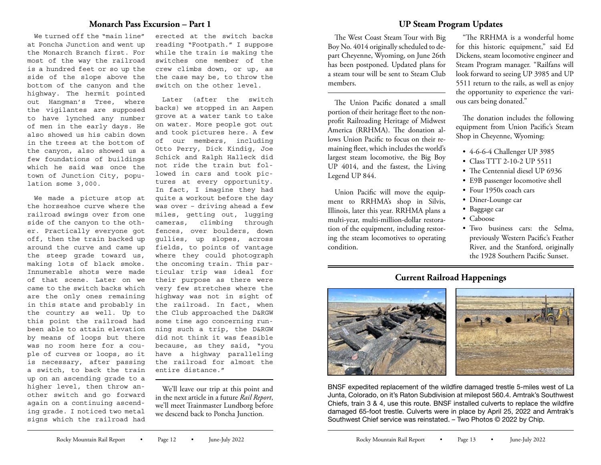## **Monarch Pass Excursion – Part 1 UP Steam Program Updates**

We turned off the "main line" at Poncha Junction and went up the Monarch Branch first. For most of the way the railroad is a hundred feet or so up the side of the slope above the bottom of the canyon and the highway. The hermit pointed out Hangman's Tree, where the vigilantes are supposed to have lynched any number of men in the early days. He also showed us his cabin down in the trees at the bottom of the canyon, also showed us a few foundations of buildings which he said was once the town of Junction City, population some 3,000.

We made a picture stop at the horseshoe curve where the railroad swings over from one side of the canyon to the other. Practically everyone got off, then the train backed up around the curve and came up the steep grade toward us, making lots of black smoke. Innumerable shots were made of that scene. Later on we came to the switch backs which are the only ones remaining in this state and probably in the country as well. Up to this point the railroad had been able to attain elevation by means of loops but there was no room here for a couple of curves or loops, so it is necessary, after passing a switch, to back the train up on an ascending grade to a higher level, then throw another switch and go forward again on a continuing ascending grade. I noticed two metal signs which the railroad had

erected at the switch backs reading "Footpath." I suppose while the train is making the switches one member of the crew climbs down, or up, as the case may be, to throw the switch on the other level.

Later (after the switch backs) we stopped in an Aspen grove at a water tank to take on water. More people got out and took pictures here. A few of our members, including Otto Perry, Dick Kindig, Joe Schick and Ralph Halleck did not ride the train but followed in cars and took pictures at every opportunity. In fact, I imagine they had quite a workout before the day was over – driving ahead a few miles, getting out, lugging cameras, climbing through fences, over boulders, down gullies, up slopes, across fields, to points of vantage where they could photograph the oncoming train. This particular trip was ideal for their purpose as there were very few stretches where the highway was not in sight of the railroad. In fact, when the Club approached the D&RGW some time ago concerning running such a trip, the D&RGW did not think it was feasible because, as they said, "you have a highway paralleling the railroad for almost the entire distance."

We'll leave our trip at this point and in the next article in a future *Rail Report*, we'll meet Trainmaster Lundborg before we descend back to Poncha Junction*.*

The West Coast Steam Tour with Big Boy No. 4014 originally scheduled to depart Cheyenne, Wyoming, on June 26th has been postponed. Updated plans for a steam tour will be sent to Steam Club members.

The Union Pacific donated a small portion of their heritage fleet to the nonprofit Railroading Heritage of Midwest America (RRHMA). The donation allows Union Pacific to focus on their remaining fleet, which includes the world's largest steam locomotive, the Big Boy UP 4014, and the fastest, the Living Legend UP 844.

Union Pacific will move the equipment to RRHMA's shop in Silvis, Illinois, later this year. RRHMA plans a multi-year, multi-million-dollar restoration of the equipment, including restoring the steam locomotives to operating condition.

"The RRHMA is a wonderful home for this historic equipment," said Ed Dickens, steam locomotive engineer and Steam Program manager. "Railfans will look forward to seeing UP 3985 and UP 5511 return to the rails, as well as enjoy the opportunity to experience the various cars being donated."

The donation includes the following equipment from Union Pacific's Steam Shop in Cheyenne, Wyoming:

- 4-6-6-4 Challenger UP 3985
- Class TTT 2-10-2 UP 5511
- The Centennial diesel UP 6936
- E9B passenger locomotive shell
- Four 1950s coach cars
- Diner-Lounge car
- Baggage car
- Caboose
- Two business cars: the Selma, previously Western Pacific's Feather River, and the Stanford, originally the 1928 Southern Pacific Sunset.

# **Current Railroad Happenings**



BNSF expedited replacement of the wildfire damaged trestle 5-miles west of La Junta, Colorado, on it's Raton Subdivision at milepost 560.4. Amtrak's Southwest Chiefs, train 3 & 4, use this route. BNSF installed culverts to replace the wildfire damaged 65-foot trestle. Culverts were in place by April 25, 2022 and Amtrak's Southwest Chief service was reinstated. – Two Photos © 2022 by Chip.